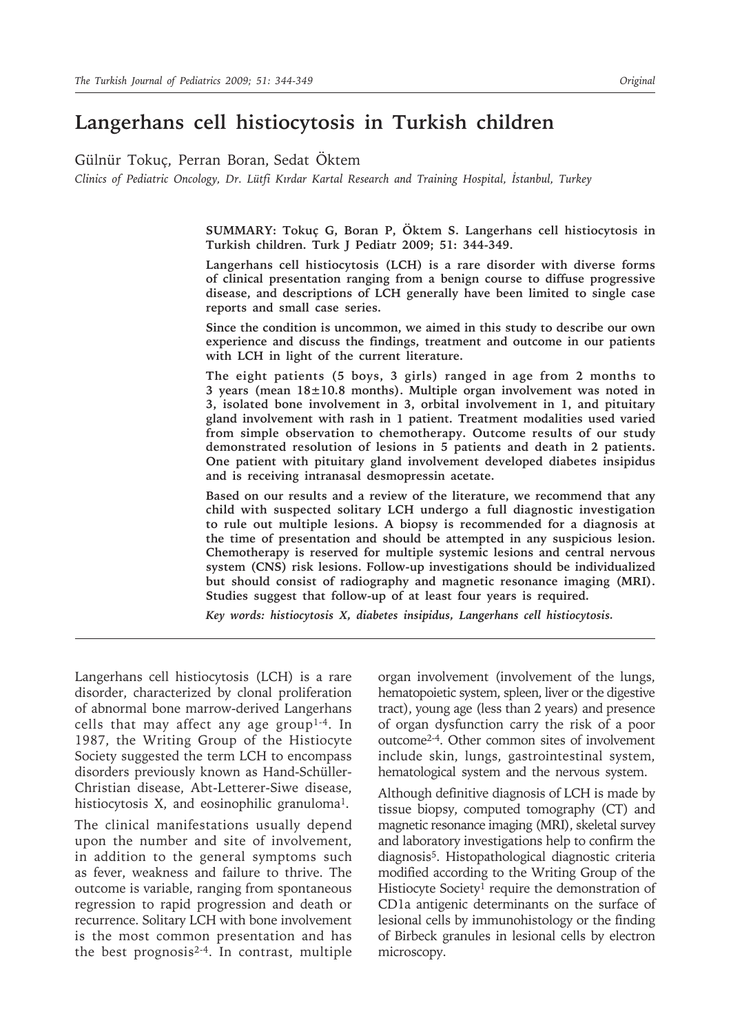# **Langerhans cell histiocytosis in Turkish children**

Gülnür Tokuç, Perran Boran, Sedat Öktem

*Clinics of Pediatric Oncology, Dr. Lütfi Kırdar Kartal Research and Training Hospital, İstanbul, Turkey*

**SUMMARY: Tokuç G, Boran P, Öktem S. Langerhans cell histiocytosis in Turkish children. Turk J Pediatr 2009; 51: 344-349.**

**Langerhans cell histiocytosis (LCH) is a rare disorder with diverse forms of clinical presentation ranging from a benign course to diffuse progressive disease, and descriptions of LCH generally have been limited to single case reports and small case series.**

**Since the condition is uncommon, we aimed in this study to describe our own experience and discuss the findings, treatment and outcome in our patients with LCH in light of the current literature.**

**The eight patients (5 boys, 3 girls) ranged in age from 2 months to 3 years (mean 18±10.8 months). Multiple organ involvement was noted in 3, isolated bone involvement in 3, orbital involvement in 1, and pituitary gland involvement with rash in 1 patient. Treatment modalities used varied from simple observation to chemotherapy. Outcome results of our study demonstrated resolution of lesions in 5 patients and death in 2 patients. One patient with pituitary gland involvement developed diabetes insipidus and is receiving intranasal desmopressin acetate.**

**Based on our results and a review of the literature, we recommend that any child with suspected solitary LCH undergo a full diagnostic investigation to rule out multiple lesions. A biopsy is recommended for a diagnosis at the time of presentation and should be attempted in any suspicious lesion. Chemotherapy is reserved for multiple systemic lesions and central nervous system (CNS) risk lesions. Follow-up investigations should be individualized but should consist of radiography and magnetic resonance imaging (MRI). Studies suggest that follow-up of at least four years is required.**

*Key words: histiocytosis X, diabetes insipidus, Langerhans cell histiocytosis.*

Langerhans cell histiocytosis (LCH) is a rare disorder, characterized by clonal proliferation of abnormal bone marrow-derived Langerhans cells that may affect any age group<sup>1-4</sup>. In 1987, the Writing Group of the Histiocyte Society suggested the term LCH to encompass disorders previously known as Hand-Schüller-Christian disease, Abt-Letterer-Siwe disease, histiocytosis X, and eosinophilic granuloma<sup>1</sup>.

The clinical manifestations usually depend upon the number and site of involvement, in addition to the general symptoms such as fever, weakness and failure to thrive. The outcome is variable, ranging from spontaneous regression to rapid progression and death or recurrence. Solitary LCH with bone involvement is the most common presentation and has the best prognosis2-4. In contrast, multiple organ involvement (involvement of the lungs, hematopoietic system, spleen, liver or the digestive tract), young age (less than 2 years) and presence of organ dysfunction carry the risk of a poor outcome2-4. Other common sites of involvement include skin, lungs, gastrointestinal system, hematological system and the nervous system.

Although definitive diagnosis of LCH is made by tissue biopsy, computed tomography (CT) and magnetic resonance imaging (MRI), skeletal survey and laboratory investigations help to confirm the diagnosis<sup>5</sup>. Histopathological diagnostic criteria modified according to the Writing Group of the Histiocyte Society<sup>1</sup> require the demonstration of CD1a antigenic determinants on the surface of lesional cells by immunohistology or the finding of Birbeck granules in lesional cells by electron microscopy.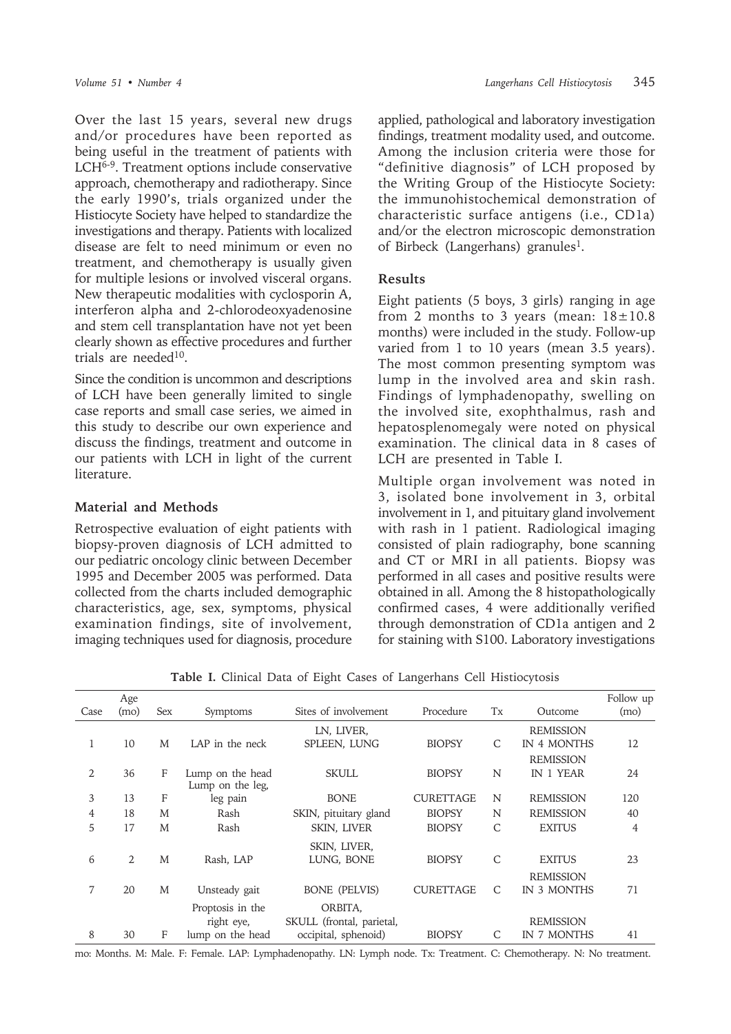Over the last 15 years, several new drugs and/or procedures have been reported as being useful in the treatment of patients with LCH6-9. Treatment options include conservative approach, chemotherapy and radiotherapy. Since the early 1990's, trials organized under the Histiocyte Society have helped to standardize the investigations and therapy. Patients with localized disease are felt to need minimum or even no treatment, and chemotherapy is usually given for multiple lesions or involved visceral organs. New therapeutic modalities with cyclosporin A, interferon alpha and 2-chlorodeoxyadenosine and stem cell transplantation have not yet been clearly shown as effective procedures and further trials are needed<sup>10</sup>.

Since the condition is uncommon and descriptions of LCH have been generally limited to single case reports and small case series, we aimed in this study to describe our own experience and discuss the findings, treatment and outcome in our patients with LCH in light of the current literature.

### **Material and Methods**

Retrospective evaluation of eight patients with biopsy-proven diagnosis of LCH admitted to our pediatric oncology clinic between December 1995 and December 2005 was performed. Data collected from the charts included demographic characteristics, age, sex, symptoms, physical examination findings, site of involvement, imaging techniques used for diagnosis, procedure applied, pathological and laboratory investigation findings, treatment modality used, and outcome. Among the inclusion criteria were those for "definitive diagnosis" of LCH proposed by the Writing Group of the Histiocyte Society: the immunohistochemical demonstration of characteristic surface antigens (i.e., CD1a) and/or the electron microscopic demonstration of Birbeck (Langerhans) granules<sup>1</sup>.

#### **Results**

Eight patients (5 boys, 3 girls) ranging in age from 2 months to 3 years (mean:  $18 \pm 10.8$ ) months) were included in the study. Follow-up varied from 1 to 10 years (mean 3.5 years). The most common presenting symptom was lump in the involved area and skin rash. Findings of lymphadenopathy, swelling on the involved site, exophthalmus, rash and hepatosplenomegaly were noted on physical examination. The clinical data in 8 cases of LCH are presented in Table I.

Multiple organ involvement was noted in 3, isolated bone involvement in 3, orbital involvement in 1, and pituitary gland involvement with rash in 1 patient. Radiological imaging consisted of plain radiography, bone scanning and CT or MRI in all patients. Biopsy was performed in all cases and positive results were obtained in all. Among the 8 histopathologically confirmed cases, 4 were additionally verified through demonstration of CD1a antigen and 2 for staining with S100. Laboratory investigations

**Table I.** Clinical Data of Eight Cases of Langerhans Cell Histiocytosis

| Case | Age<br>(mo) | Sex | Symptoms                             | Sites of involvement                 | Procedure        | Tx           | Outcome          | Follow up<br>(mo) |
|------|-------------|-----|--------------------------------------|--------------------------------------|------------------|--------------|------------------|-------------------|
|      |             |     |                                      | LN, LIVER,                           |                  |              | <b>REMISSION</b> |                   |
|      | 10          | M   | LAP in the neck                      | SPLEEN, LUNG                         | <b>BIOPSY</b>    | $\mathsf{C}$ | IN 4 MONTHS      | 12                |
|      |             |     |                                      |                                      |                  |              | <b>REMISSION</b> |                   |
| 2    | 36          | F   | Lump on the head<br>Lump on the leg, | <b>SKULL</b>                         | <b>BIOPSY</b>    | N            | IN 1 YEAR        | 24                |
| 3    | 13          | F   | leg pain                             | <b>BONE</b>                          | <b>CURETTAGE</b> | N            | <b>REMISSION</b> | 120               |
| 4    | 18          | M   | Rash                                 | SKIN, pituitary gland                | <b>BIOPSY</b>    | N            | <b>REMISSION</b> | 40                |
| 5    | 17          | M   | Rash                                 | SKIN, LIVER                          | <b>BIOPSY</b>    | $\mathsf{C}$ | <b>EXITUS</b>    | 4                 |
|      |             |     |                                      | SKIN, LIVER,                         |                  |              |                  |                   |
| 6    | 2           | M   | Rash, LAP                            | LUNG, BONE                           | <b>BIOPSY</b>    | $\mathsf{C}$ | <b>EXITUS</b>    | 23                |
|      |             |     |                                      |                                      |                  |              | <b>REMISSION</b> |                   |
| 7    | 20          | M   | Unsteady gait                        | <b>BONE</b> (PELVIS)                 | <b>CURETTAGE</b> | C            | IN 3 MONTHS      | 71                |
|      |             |     | Proptosis in the<br>right eye,       | ORBITA,<br>SKULL (frontal, parietal, |                  |              | <b>REMISSION</b> |                   |
| 8    | 30          | F   | lump on the head                     | occipital, sphenoid)                 | <b>BIOPSY</b>    | $\mathsf{C}$ | IN 7 MONTHS      | 41                |

mo: Months. M: Male. F: Female. LAP: Lymphadenopathy. LN: Lymph node. Tx: Treatment. C: Chemotherapy. N: No treatment.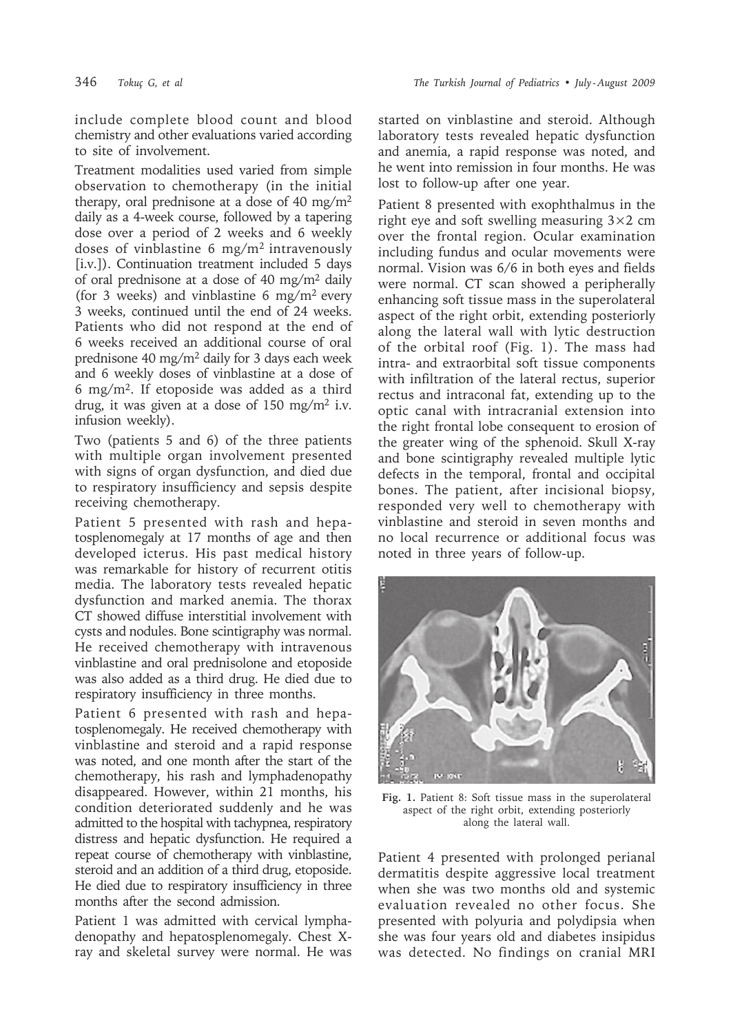include complete blood count and blood chemistry and other evaluations varied according to site of involvement.

Treatment modalities used varied from simple observation to chemotherapy (in the initial therapy, oral prednisone at a dose of 40 mg/m<sup>2</sup> daily as a 4-week course, followed by a tapering dose over a period of 2 weeks and 6 weekly doses of vinblastine  $6 \text{ mg/m}^2$  intravenously [i.v.]). Continuation treatment included 5 days of oral prednisone at a dose of 40 mg/m<sup>2</sup> daily (for 3 weeks) and vinblastine 6 mg/m<sup>2</sup> every 3 weeks, continued until the end of 24 weeks. Patients who did not respond at the end of 6 weeks received an additional course of oral prednisone 40 mg/m<sup>2</sup> daily for 3 days each week and 6 weekly doses of vinblastine at a dose of 6 mg/m<sup>2</sup>. If etoposide was added as a third drug, it was given at a dose of 150 mg/m<sup>2</sup> i.v. infusion weekly).

Two (patients 5 and 6) of the three patients with multiple organ involvement presented with signs of organ dysfunction, and died due to respiratory insufficiency and sepsis despite receiving chemotherapy.

Patient 5 presented with rash and hepatosplenomegaly at 17 months of age and then developed icterus. His past medical history was remarkable for history of recurrent otitis media. The laboratory tests revealed hepatic dysfunction and marked anemia. The thorax CT showed diffuse interstitial involvement with cysts and nodules. Bone scintigraphy was normal. He received chemotherapy with intravenous vinblastine and oral prednisolone and etoposide was also added as a third drug. He died due to respiratory insufficiency in three months.

Patient 6 presented with rash and hepatosplenomegaly. He received chemotherapy with vinblastine and steroid and a rapid response was noted, and one month after the start of the chemotherapy, his rash and lymphadenopathy disappeared. However, within 21 months, his condition deteriorated suddenly and he was admitted to the hospital with tachypnea, respiratory distress and hepatic dysfunction. He required a repeat course of chemotherapy with vinblastine, steroid and an addition of a third drug, etoposide. He died due to respiratory insufficiency in three months after the second admission.

Patient 1 was admitted with cervical lymphadenopathy and hepatosplenomegaly. Chest Xray and skeletal survey were normal. He was started on vinblastine and steroid. Although laboratory tests revealed hepatic dysfunction and anemia, a rapid response was noted, and he went into remission in four months. He was lost to follow-up after one year.

Patient 8 presented with exophthalmus in the right eye and soft swelling measuring  $3\times2$  cm over the frontal region. Ocular examination including fundus and ocular movements were normal. Vision was 6/6 in both eyes and fields were normal. CT scan showed a peripherally enhancing soft tissue mass in the superolateral aspect of the right orbit, extending posteriorly along the lateral wall with lytic destruction of the orbital roof (Fig. 1). The mass had intra- and extraorbital soft tissue components with infiltration of the lateral rectus, superior rectus and intraconal fat, extending up to the optic canal with intracranial extension into the right frontal lobe consequent to erosion of the greater wing of the sphenoid. Skull X-ray and bone scintigraphy revealed multiple lytic defects in the temporal, frontal and occipital bones. The patient, after incisional biopsy, responded very well to chemotherapy with vinblastine and steroid in seven months and no local recurrence or additional focus was noted in three years of follow-up.



**Fig. 1.** Patient 8: Soft tissue mass in the superolateral aspect of the right orbit, extending posteriorly along the lateral wall.

Patient 4 presented with prolonged perianal dermatitis despite aggressive local treatment when she was two months old and systemic evaluation revealed no other focus. She presented with polyuria and polydipsia when she was four years old and diabetes insipidus was detected. No findings on cranial MRI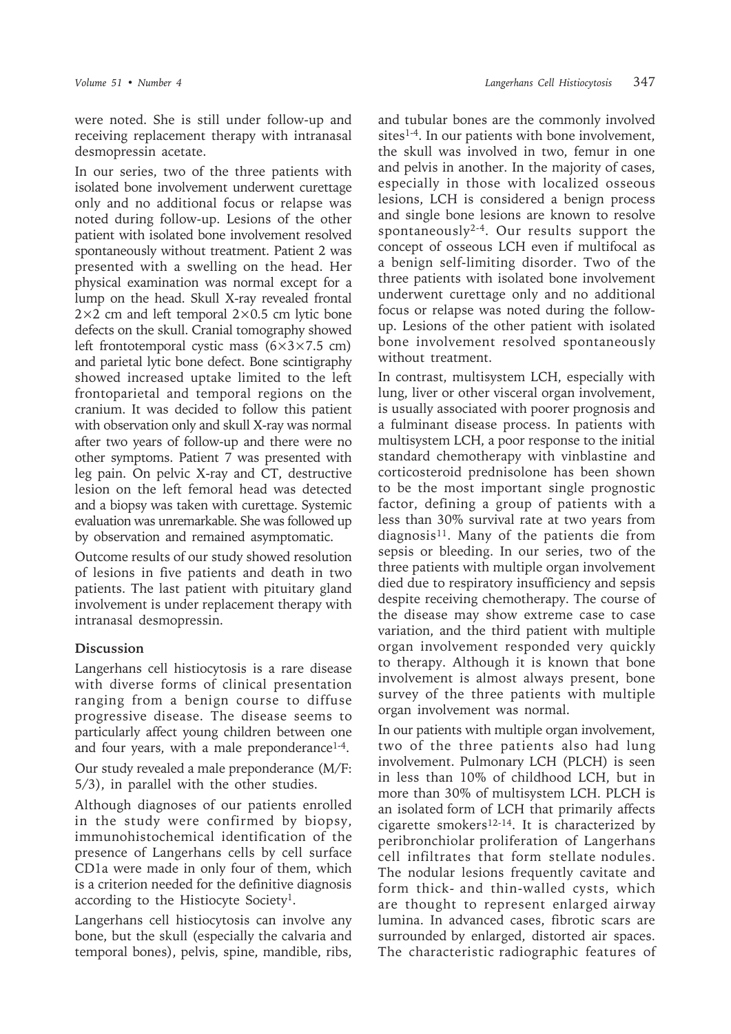were noted. She is still under follow-up and receiving replacement therapy with intranasal desmopressin acetate.

In our series, two of the three patients with isolated bone involvement underwent curettage only and no additional focus or relapse was noted during follow-up. Lesions of the other patient with isolated bone involvement resolved spontaneously without treatment. Patient 2 was presented with a swelling on the head. Her physical examination was normal except for a lump on the head. Skull X-ray revealed frontal  $2\times2$  cm and left temporal  $2\times0.5$  cm lytic bone defects on the skull. Cranial tomography showed left frontotemporal cystic mass  $(6\times3\times7.5$  cm) and parietal lytic bone defect. Bone scintigraphy showed increased uptake limited to the left frontoparietal and temporal regions on the cranium. It was decided to follow this patient with observation only and skull X-ray was normal after two years of follow-up and there were no other symptoms. Patient 7 was presented with leg pain. On pelvic X-ray and CT, destructive lesion on the left femoral head was detected and a biopsy was taken with curettage. Systemic evaluation was unremarkable. She was followed up by observation and remained asymptomatic.

Outcome results of our study showed resolution of lesions in five patients and death in two patients. The last patient with pituitary gland involvement is under replacement therapy with intranasal desmopressin.

## **Discussion**

Langerhans cell histiocytosis is a rare disease with diverse forms of clinical presentation ranging from a benign course to diffuse progressive disease. The disease seems to particularly affect young children between one and four years, with a male preponderance<sup>1-4</sup>.

Our study revealed a male preponderance (M/F: 5/3), in parallel with the other studies.

Although diagnoses of our patients enrolled in the study were confirmed by biopsy, immunohistochemical identification of the presence of Langerhans cells by cell surface CD1a were made in only four of them, which is a criterion needed for the definitive diagnosis according to the Histiocyte Society<sup>1</sup>.

Langerhans cell histiocytosis can involve any bone, but the skull (especially the calvaria and temporal bones), pelvis, spine, mandible, ribs, and tubular bones are the commonly involved sites<sup>1-4</sup>. In our patients with bone involvement, the skull was involved in two, femur in one and pelvis in another. In the majority of cases, especially in those with localized osseous lesions, LCH is considered a benign process and single bone lesions are known to resolve spontaneously<sup>2-4</sup>. Our results support the concept of osseous LCH even if multifocal as a benign self-limiting disorder. Two of the three patients with isolated bone involvement underwent curettage only and no additional focus or relapse was noted during the followup. Lesions of the other patient with isolated bone involvement resolved spontaneously without treatment.

In contrast, multisystem LCH, especially with lung, liver or other visceral organ involvement, is usually associated with poorer prognosis and a fulminant disease process. In patients with multisystem LCH, a poor response to the initial standard chemotherapy with vinblastine and corticosteroid prednisolone has been shown to be the most important single prognostic factor, defining a group of patients with a less than 30% survival rate at two years from  $diagnostis<sup>11</sup>$ . Many of the patients die from sepsis or bleeding. In our series, two of the three patients with multiple organ involvement died due to respiratory insufficiency and sepsis despite receiving chemotherapy. The course of the disease may show extreme case to case variation, and the third patient with multiple organ involvement responded very quickly to therapy. Although it is known that bone involvement is almost always present, bone survey of the three patients with multiple organ involvement was normal.

In our patients with multiple organ involvement, two of the three patients also had lung involvement. Pulmonary LCH (PLCH) is seen in less than 10% of childhood LCH, but in more than 30% of multisystem LCH. PLCH is an isolated form of LCH that primarily affects cigarette smokers12-14. It is characterized by peribronchiolar proliferation of Langerhans cell infiltrates that form stellate nodules. The nodular lesions frequently cavitate and form thick- and thin-walled cysts, which are thought to represent enlarged airway lumina. In advanced cases, fibrotic scars are surrounded by enlarged, distorted air spaces. The characteristic radiographic features of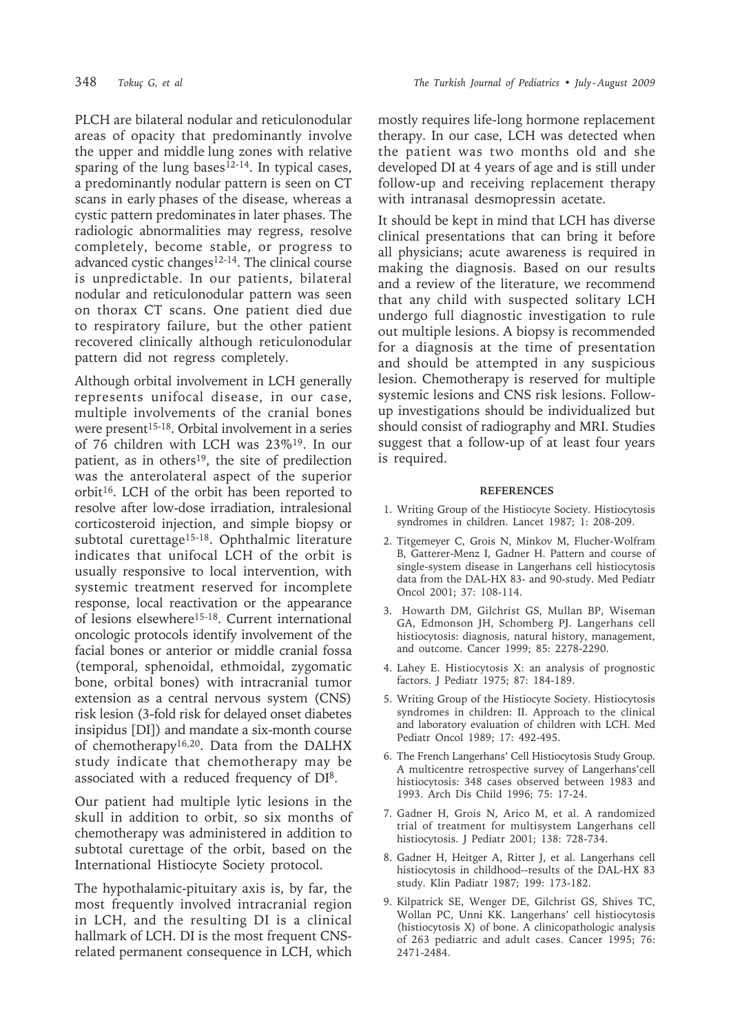PLCH are bilateral nodular and reticulonodular areas of opacity that predominantly involve the upper and middle lung zones with relative sparing of the lung bases $12-14$ . In typical cases, a predominantly nodular pattern is seen on CT scans in early phases of the disease, whereas a cystic pattern predominates in later phases. The radiologic abnormalities may regress, resolve completely, become stable, or progress to advanced cystic changes<sup>12-14</sup>. The clinical course is unpredictable. In our patients, bilateral nodular and reticulonodular pattern was seen on thorax CT scans. One patient died due to respiratory failure, but the other patient recovered clinically although reticulonodular pattern did not regress completely.

Although orbital involvement in LCH generally represents unifocal disease, in our case, multiple involvements of the cranial bones were present<sup>15-18</sup>. Orbital involvement in a series of 76 children with LCH was 23%19. In our patient, as in others<sup>19</sup>, the site of predilection was the anterolateral aspect of the superior orbit<sup>16</sup>. LCH of the orbit has been reported to resolve after low-dose irradiation, intralesional corticosteroid injection, and simple biopsy or subtotal curettage<sup>15-18</sup>. Ophthalmic literature indicates that unifocal LCH of the orbit is usually responsive to local intervention, with systemic treatment reserved for incomplete response, local reactivation or the appearance of lesions elsewhere15-18. Current international oncologic protocols identify involvement of the facial bones or anterior or middle cranial fossa (temporal, sphenoidal, ethmoidal, zygomatic bone, orbital bones) with intracranial tumor extension as a central nervous system (CNS) risk lesion (3-fold risk for delayed onset diabetes insipidus [DI]) and mandate a six-month course of chemotherapy16,20. Data from the DALHX study indicate that chemotherapy may be associated with a reduced frequency of DI<sup>8</sup>.

Our patient had multiple lytic lesions in the skull in addition to orbit, so six months of chemotherapy was administered in addition to subtotal curettage of the orbit, based on the International Histiocyte Society protocol.

The hypothalamic-pituitary axis is, by far, the most frequently involved intracranial region in LCH, and the resulting DI is a clinical hallmark of LCH. DI is the most frequent CNSrelated permanent consequence in LCH, which mostly requires life-long hormone replacement therapy. In our case, LCH was detected when the patient was two months old and she developed DI at 4 years of age and is still under follow-up and receiving replacement therapy with intranasal desmopressin acetate.

It should be kept in mind that LCH has diverse clinical presentations that can bring it before all physicians; acute awareness is required in making the diagnosis. Based on our results and a review of the literature, we recommend that any child with suspected solitary LCH undergo full diagnostic investigation to rule out multiple lesions. A biopsy is recommended for a diagnosis at the time of presentation and should be attempted in any suspicious lesion. Chemotherapy is reserved for multiple systemic lesions and CNS risk lesions. Followup investigations should be individualized but should consist of radiography and MRI. Studies suggest that a follow-up of at least four years is required.

#### **REFERENCES**

- 1. Writing Group of the Histiocyte Society. Histiocytosis syndromes in children. Lancet 1987; 1: 208-209.
- 2. Titgemeyer C, Grois N, Minkov M, Flucher-Wolfram B, Gatterer-Menz I, Gadner H. Pattern and course of single-system disease in Langerhans cell histiocytosis data from the DAL-HX 83- and 90-study. Med Pediatr Oncol 2001; 37: 108-114.
- 3. Howarth DM, Gilchrist GS, Mullan BP, Wiseman GA, Edmonson JH, Schomberg PJ. Langerhans cell histiocytosis: diagnosis, natural history, management, and outcome. Cancer 1999; 85: 2278-2290.
- 4. Lahey E. Histiocytosis X: an analysis of prognostic factors. J Pediatr 1975; 87: 184-189.
- 5. Writing Group of the Histiocyte Society. Histiocytosis syndromes in children: II. Approach to the clinical and laboratory evaluation of children with LCH. Med Pediatr Oncol 1989; 17: 492-495.
- 6. The French Langerhans' Cell Histiocytosis Study Group. A multicentre retrospective survey of Langerhans'cell histiocytosis: 348 cases observed between 1983 and 1993. Arch Dis Child 1996; 75: 17-24.
- 7. Gadner H, Grois N, Arico M, et al. A randomized trial of treatment for multisystem Langerhans cell histiocytosis. J Pediatr 2001; 138: 728-734.
- 8. Gadner H, Heitger A, Ritter J, et al. Langerhans cell histiocytosis in childhood--results of the DAL-HX 83 study. Klin Padiatr 1987; 199: 173-182.
- 9. Kilpatrick SE, Wenger DE, Gilchrist GS, Shives TC, Wollan PC, Unni KK. Langerhans' cell histiocytosis (histiocytosis X) of bone. A clinicopathologic analysis of 263 pediatric and adult cases. Cancer 1995; 76: 2471-2484.